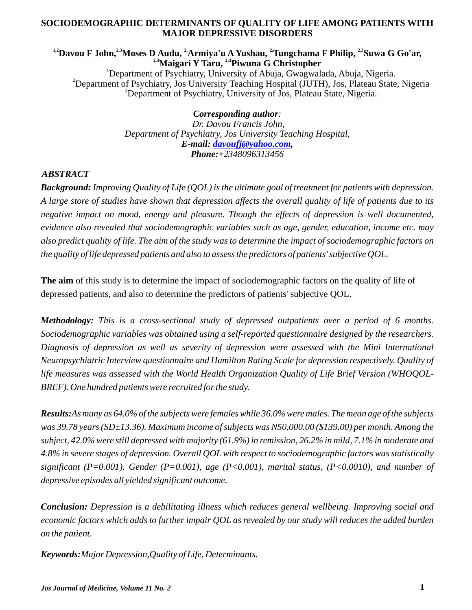## **SOCIODEMOGRAPHIC DETERMINANTS OF QUALITY OF LIFE AMONG PATIENTS WITH MAJOR DEPRESSIVE DISORDERS**

## <sup>1,2</sup> **Davou F John,** <sup>2,3</sup> Moses **D** Audu, <sup>2</sup> Armiya'u A Yushau, <sup>2</sup> Tungchama F Philip, <sup>2,3</sup> Suwa G Go'ar, <sup>2,3</sup> Maigari Y Taru, <sup>2,3</sup> Piwuna G Christopher

<sup>1</sup>Department of Psychiatry, University of Abuja, Gwagwalada, Abuja, Nigeria. <sup>2</sup>Department of Psychiatry, Jos University Teaching Hospital (JUTH), Jos, Plateau State, Nigeria <sup>3</sup>Department of Psychiatry, University of Jos, Plateau State, Nigeria.

> *Corresponding author: Dr. Davou Francis John, Department of Psychiatry, Jos University Teaching Hospital, E-mail: , davoufj@yahoo.comPhone:+2348096313456*

# *ABSTRACT*

*Background: Improving Quality of Life (QOL) is the ultimate goal of treatment for patients with depression. A large store of studies have shown that depression affects the overall quality of life of patients due to its negative impact on mood, energy and pleasure. Though the effects of depression is well documented, evidence also revealed that sociodemographic variables such as age, gender, education, income etc. may also predict quality of life. The aim of the study was to determine the impact of sociodemographic factors on the quality of life depressed patients and also to assess the predictors of patients' subjective QOL.*

**The aim** of this study is to determine the impact of sociodemographic factors on the quality of life of depressed patients, and also to determine the predictors of patients' subjective QOL.

*Methodology: This is a cross-sectional study of depressed outpatients over a period of 6 months. Sociodemographic variables was obtained using a self-reported questionnaire designed by the researchers. Diagnosis of depression as well as severity of depression were assessed with the Mini International Neuropsychiatric Interview questionnaire and Hamilton Rating Scale for depression respectively. Quality of life measures was assessed with the World Health Organization Quality of Life Brief Version (WHOQOL-BREF). One hundred patients were recruited for the study.* 

*Results:As many as 64.0% of the subjects were females while 36.0% were males. The mean age of the subjects was 39.78 years (SD±13.36). Maximum income of subjects was N50,000.00 (\$139.00) per month. Among the subject, 42.0% were still depressed with majority (61.9%) in remission, 26.2% in mild, 7.1% in moderate and 4.8% in severe stages of depression. Overall QOLwith respect to sociodemographic factors was statistically significant (P=0.001). Gender (P=0.001), age (P<0.001), marital status, (P<0.0010), and number of depressive episodes all yielded significant outcome.*

*Conclusion: Depression is a debilitating illness which reduces general wellbeing. Improving social and economic factors which adds to further impair QOL as revealed by our study will reduces the added burden on the patient.*

*Keywords:Major Depression,Quality of Life, Determinants.*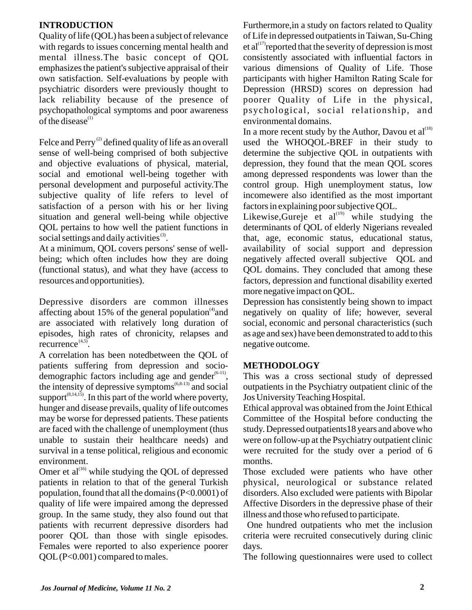# **INTRODUCTION**

Quality of life (QOL) has been a subject of relevance with regards to issues concerning mental health and mental illness.The basic concept of QOL emphasizes the patient's subjective appraisal of their own satisfaction. Self-evaluations by people with psychiatric disorders were previously thought to lack reliability because of the presence of psychopathological symptoms and poor awareness of the disease $^{(1)}$ 

Felce and Perry<sup>(2)</sup> defined quality of life as an overall sense of well-being comprised of both subjective and objective evaluations of physical, material, social and emotional well-being together with personal development and purposeful activity.The subjective quality of life refers to level of satisfaction of a person with his or her living situation and general well-being while objective QOL pertains to how well the patient functions in social settings and daily activities  $(3)$ .

At a minimum, QOL covers persons' sense of wellbeing; which often includes how they are doing (functional status), and what they have (access to resources and opportunities).

Depressive disorders are common illnesses affecting about 15% of the general population and are associated with relatively long duration of episodes, high rates of chronicity, relapses and recurrence $^{(4,5)}$ .

A correlation has been notedbetween the QOL of patients suffering from depression and socio demographic factors including age and gender  $(6-11)$ , the intensity of depressive symptoms<sup> $(6,8-13)$ </sup> and social support<sup> $(8,14,15)$ </sup>. In this part of the world where poverty, hunger and disease prevails, quality of life outcomes may be worse for depressed patients. These patients are faced with the challenge of unemployment (thus unable to sustain their healthcare needs) and survival in a tense political, religious and economic environment.

Omer et al $^{(16)}$  while studying the QOL of depressed patients in relation to that of the general Turkish population, found that all the domains (P<0.0001) of quality of life were impaired among the depressed group. In the same study, they also found out that patients with recurrent depressive disorders had poorer QOL than those with single episodes. Females were reported to also experience poorer QOL(P<0.001) compared to males.

Furthermore,in a study on factors related to Quality of Life in depressed outpatients in Taiwan, Su-Ching et al<sup> $(17)$ </sup> reported that the severity of depression is most consistently associated with influential factors in various dimensions of Quality of Life. Those participants with higher Hamilton Rating Scale for Depression (HRSD) scores on depression had poorer Quality of Life in the physical, psychological, social relationship, and environmental domains.

In a more recent study by the Author, Davou et  $al^{(18)}$ used the WHOQOL-BREF in their study to determine the subjective QOL in outpatients with depression, they found that the mean QOL scores among depressed respondents was lower than the control group. High unemployment status, low incomewere also identified as the most important factors in explaining poor subjective QOL.

Likewise, Gureje et al $^{(19)}$  while studying the determinants of QOL of elderly Nigerians revealed that, age, economic status, educational status, availability of social support and depression negatively affected overall subjective QOL and QOL domains. They concluded that among these factors, depression and functional disability exerted more negative impact on QOL.

Depression has consistently being shown to impact negatively on quality of life; however, several social, economic and personal characteristics (such as age and sex) have been demonstrated to add to this negative outcome.

# **METHODOLOGY**

This was a cross sectional study of depressed outpatients in the Psychiatry outpatient clinic of the Jos University Teaching Hospital.

Ethical approval was obtained from the Joint Ethical Committee of the Hospital before conducting the study. Depressed outpatients18 years and above who were on follow-up at the Psychiatry outpatient clinic were recruited for the study over a period of 6 months.

Those excluded were patients who have other physical, neurological or substance related disorders. Also excluded were patients with Bipolar Affective Disorders in the depressive phase of their illness and those who refused to participate.

One hundred outpatients who met the inclusion criteria were recruited consecutively during clinic days.

The following questionnaires were used to collect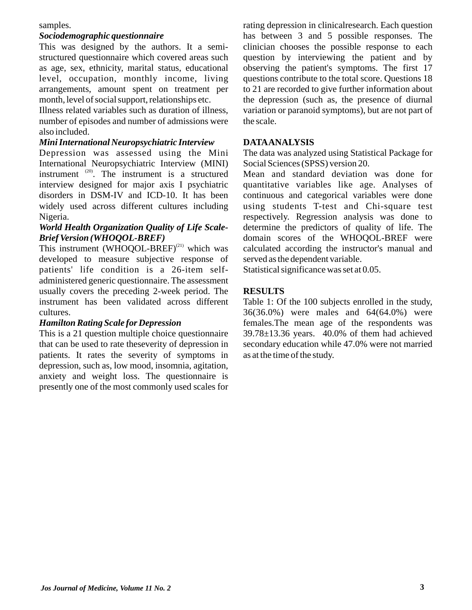#### samples.

#### *Sociodemographic questionnaire*

This was designed by the authors. It a semistructured questionnaire which covered areas such as age, sex, ethnicity, marital status, educational level, occupation, monthly income, living arrangements, amount spent on treatment per month, level of social support, relationships etc.

Illness related variables such as duration of illness, number of episodes and number of admissions were also included.

#### *Mini International Neuropsychiatric Interview*

Depression was assessed using the Mini International Neuropsychiatric Interview (MINI) instrument  $^{(20)}$ . The instrument is a structured interview designed for major axis I psychiatric disorders in DSM-IV and ICD-10. It has been widely used across different cultures including Nigeria.

## *World Health Organization Quality of Life Scale-Brief Version (WHOQOL-BREF)*

This instrument (WHOQOL-BREF) $^{(21)}$  which was developed to measure subjective response of patients' life condition is a 26-item selfadministered generic questionnaire. The assessment usually covers the preceding 2-week period. The instrument has been validated across different cultures.

### *Hamilton Rating Scale for Depression*

This is a 21 question multiple choice questionnaire that can be used to rate theseverity of depression in patients. It rates the severity of symptoms in depression, such as, low mood, insomnia, agitation, anxiety and weight loss. The questionnaire is presently one of the most commonly used scales for

rating depression in clinicalresearch. Each question has between 3 and 5 possible responses. The clinician chooses the possible response to each question by interviewing the patient and by observing the patient's symptoms. The first 17 questions contribute to the total score. Questions 18 to 21 are recorded to give further information about the depression (such as, the presence of diurnal variation or paranoid symptoms), but are not part of the scale.

#### **DATAANALYSIS**

The data was analyzed using Statistical Package for Social Sciences (SPSS) version 20.

Mean and standard deviation was done for quantitative variables like age. Analyses of continuous and categorical variables were done using students T-test and Chi-square test respectively. Regression analysis was done to determine the predictors of quality of life. The domain scores of the WHOQOL-BREF were calculated according the instructor's manual and served as the dependent variable.

Statistical significance was set at 0.05.

## **RESULTS**

Table 1: Of the 100 subjects enrolled in the study, 36(36.0%) were males and 64(64.0%) were females.The mean age of the respondents was 39.78±13.36 years. 40.0% of them had achieved secondary education while 47.0% were not married as at the time of the study.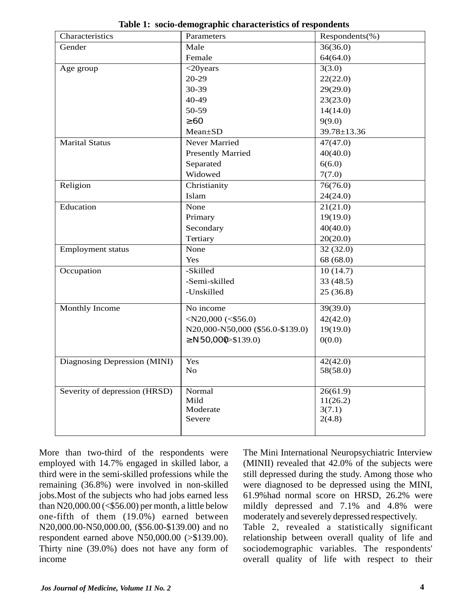| Characteristics               | Parameters                       | $Respondents(\%)$ |
|-------------------------------|----------------------------------|-------------------|
| Gender                        | Male                             | 36(36.0)          |
|                               | Female                           | 64(64.0)          |
| Age group                     | $<$ 20years                      | 3(3.0)            |
|                               | $20-29$                          | 22(22.0)          |
|                               | 30-39                            | 29(29.0)          |
|                               | 40-49                            | 23(23.0)          |
|                               | 50-59                            | 14(14.0)          |
|                               | 60                               | 9(9.0)            |
|                               | Mean±SD                          | 39.78±13.36       |
| <b>Marital Status</b>         | Never Married                    | 47(47.0)          |
|                               | <b>Presently Married</b>         | 40(40.0)          |
|                               | Separated                        | 6(6.0)            |
|                               | Widowed                          | 7(7.0)            |
| Religion                      | Christianity                     | 76(76.0)          |
|                               | Islam                            | 24(24.0)          |
| Education                     | None                             | 21(21.0)          |
|                               | Primary                          | 19(19.0)          |
|                               | Secondary                        | 40(40.0)          |
|                               | Tertiary                         | 20(20.0)          |
| <b>Employment status</b>      | None                             | 32(32.0)          |
|                               | Yes                              | 68 (68.0)         |
| Occupation                    | -Skilled                         | 10(14.7)          |
|                               | -Semi-skilled                    | 33 (48.5)         |
|                               | -Unskilled                       | 25(36.8)          |
| Monthly Income                | No income                        | 39(39.0)          |
|                               | $<$ N20,000 (<\$56.0)            | 42(42.0)          |
|                               | N20,000-N50,000 (\$56.0-\$139.0) | 19(19.0)          |
|                               | N50,000 \$139.0)                 | 0(0.0)            |
|                               |                                  |                   |
| Diagnosing Depression (MINI)  | Yes                              | 42(42.0)          |
|                               | No                               | 58(58.0)          |
|                               |                                  |                   |
| Severity of depression (HRSD) | Normal                           | 26(61.9)          |
|                               | Mild                             | 11(26.2)          |
|                               | Moderate                         | 3(7.1)            |
|                               | Severe                           | 2(4.8)            |
|                               |                                  |                   |

**Table 1: socio-demographic characteristics of respondents**

More than two-third of the respondents were employed with 14.7% engaged in skilled labor, a third were in the semi-skilled professions while the remaining (36.8%) were involved in non-skilled jobs.Most of the subjects who had jobs earned less than N20,000.00 ( $\le$ \$56.00) per month, a little below one-fifth of them (19.0%) earned between N20,000.00-N50,000.00, (\$56.00-\$139.00) and no respondent earned above N50,000.00 (>\$139.00). Thirty nine (39.0%) does not have any form of income

The Mini International Neuropsychiatric Interview (MINII) revealed that 42.0% of the subjects were still depressed during the study. Among those who were diagnosed to be depressed using the MINI, 61.9%had normal score on HRSD, 26.2% were mildly depressed and 7.1% and 4.8% were moderately and severely depressed respectively.

Table 2, revealed a statistically significant relationship between overall quality of life and sociodemographic variables. The respondents' overall quality of life with respect to their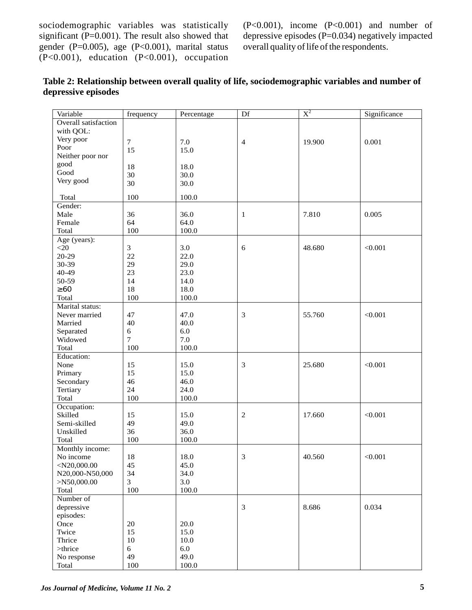sociodemographic variables was statistically significant (P=0.001). The result also showed that gender (P=0.005), age (P<0.001), marital status  $(P<0.001)$ , education  $(P<0.001)$ , occupation (P<0.001), income (P<0.001) and number of depressive episodes (P=0.034) negatively impacted overall quality of life of the respondents.

| Overall satisfaction<br>with QOL:<br>Very poor<br>$\overline{7}$<br>7.0<br>19.900<br>0.001<br>$\overline{4}$<br>Poor<br>15<br>15.0<br>Neither poor nor<br>good<br>18<br>18.0<br>Good<br>30<br>30.0<br>Very good<br>30<br>30.0<br>100<br>100.0<br>Total<br>Gender:<br>Male<br>36<br>36.0<br>7.810<br>0.005<br>1<br>64<br>64.0<br>Female<br>Total<br>100<br>100.0<br>Age (years):<br>$<$ 20<br>$\mathfrak{Z}$<br>3.0<br>< 0.001<br>6<br>48.680<br>20-29<br>22<br>22.0<br>30-39<br>29<br>29.0<br>23<br>40-49<br>23.0<br>50-59<br>14<br>14.0<br>60<br>18<br>18.0<br>Total<br>100<br>100.0<br>Marital status:<br>3<br>< 0.001<br>Never married<br>47<br>47.0<br>55.760<br>Married<br>40<br>40.0<br>6.0<br>Separated<br>$\sqrt{6}$<br>Widowed<br>$\overline{7}$<br>7.0<br>Total<br>100<br>100.0<br>Education:<br>None<br>15.0<br>3<br>25.680<br>< 0.001<br>15<br>Primary<br>15<br>15.0<br>Secondary<br>46.0<br>46<br>Tertiary<br>24<br>24.0<br>Total<br>100<br>100.0<br>Occupation:<br>Skilled<br>$\overline{2}$<br>15<br>15.0<br>17.660<br>< 0.001<br>Semi-skilled<br>49<br>49.0<br>36.0<br>Unskilled<br>36<br>Total<br>100<br>100.0<br>Monthly income:<br>$18\,$<br>18.0<br>40.560<br>3<br>< 0.001<br>No income<br>$<$ N20,000.00<br>45<br>45.0<br>N20,000-N50,000<br>34<br>34.0<br>3<br>3.0<br>>N50,000.00<br>100<br>100.0<br>Total<br>Number of<br>3<br>8.686<br>depressive<br>0.034<br>episodes:<br>Once<br>20<br>20.0<br>15<br>Twice<br>15.0<br>Thrice<br>10<br>10.0<br>6.0<br>$>$ thrice<br>$\sqrt{6}$<br>49<br>49.0<br>No response<br>100<br>$100.0\,$<br>Total | Variable | frequency | Percentage | Df | $X^2$ | Significance |
|-------------------------------------------------------------------------------------------------------------------------------------------------------------------------------------------------------------------------------------------------------------------------------------------------------------------------------------------------------------------------------------------------------------------------------------------------------------------------------------------------------------------------------------------------------------------------------------------------------------------------------------------------------------------------------------------------------------------------------------------------------------------------------------------------------------------------------------------------------------------------------------------------------------------------------------------------------------------------------------------------------------------------------------------------------------------------------------------------------------------------------------------------------------------------------------------------------------------------------------------------------------------------------------------------------------------------------------------------------------------------------------------------------------------------------------------------------------------------------------------------------------------------------------------------------------------|----------|-----------|------------|----|-------|--------------|
|                                                                                                                                                                                                                                                                                                                                                                                                                                                                                                                                                                                                                                                                                                                                                                                                                                                                                                                                                                                                                                                                                                                                                                                                                                                                                                                                                                                                                                                                                                                                                                   |          |           |            |    |       |              |
|                                                                                                                                                                                                                                                                                                                                                                                                                                                                                                                                                                                                                                                                                                                                                                                                                                                                                                                                                                                                                                                                                                                                                                                                                                                                                                                                                                                                                                                                                                                                                                   |          |           |            |    |       |              |
|                                                                                                                                                                                                                                                                                                                                                                                                                                                                                                                                                                                                                                                                                                                                                                                                                                                                                                                                                                                                                                                                                                                                                                                                                                                                                                                                                                                                                                                                                                                                                                   |          |           |            |    |       |              |
|                                                                                                                                                                                                                                                                                                                                                                                                                                                                                                                                                                                                                                                                                                                                                                                                                                                                                                                                                                                                                                                                                                                                                                                                                                                                                                                                                                                                                                                                                                                                                                   |          |           |            |    |       |              |
|                                                                                                                                                                                                                                                                                                                                                                                                                                                                                                                                                                                                                                                                                                                                                                                                                                                                                                                                                                                                                                                                                                                                                                                                                                                                                                                                                                                                                                                                                                                                                                   |          |           |            |    |       |              |
|                                                                                                                                                                                                                                                                                                                                                                                                                                                                                                                                                                                                                                                                                                                                                                                                                                                                                                                                                                                                                                                                                                                                                                                                                                                                                                                                                                                                                                                                                                                                                                   |          |           |            |    |       |              |
|                                                                                                                                                                                                                                                                                                                                                                                                                                                                                                                                                                                                                                                                                                                                                                                                                                                                                                                                                                                                                                                                                                                                                                                                                                                                                                                                                                                                                                                                                                                                                                   |          |           |            |    |       |              |
|                                                                                                                                                                                                                                                                                                                                                                                                                                                                                                                                                                                                                                                                                                                                                                                                                                                                                                                                                                                                                                                                                                                                                                                                                                                                                                                                                                                                                                                                                                                                                                   |          |           |            |    |       |              |
|                                                                                                                                                                                                                                                                                                                                                                                                                                                                                                                                                                                                                                                                                                                                                                                                                                                                                                                                                                                                                                                                                                                                                                                                                                                                                                                                                                                                                                                                                                                                                                   |          |           |            |    |       |              |
|                                                                                                                                                                                                                                                                                                                                                                                                                                                                                                                                                                                                                                                                                                                                                                                                                                                                                                                                                                                                                                                                                                                                                                                                                                                                                                                                                                                                                                                                                                                                                                   |          |           |            |    |       |              |
|                                                                                                                                                                                                                                                                                                                                                                                                                                                                                                                                                                                                                                                                                                                                                                                                                                                                                                                                                                                                                                                                                                                                                                                                                                                                                                                                                                                                                                                                                                                                                                   |          |           |            |    |       |              |
|                                                                                                                                                                                                                                                                                                                                                                                                                                                                                                                                                                                                                                                                                                                                                                                                                                                                                                                                                                                                                                                                                                                                                                                                                                                                                                                                                                                                                                                                                                                                                                   |          |           |            |    |       |              |
|                                                                                                                                                                                                                                                                                                                                                                                                                                                                                                                                                                                                                                                                                                                                                                                                                                                                                                                                                                                                                                                                                                                                                                                                                                                                                                                                                                                                                                                                                                                                                                   |          |           |            |    |       |              |
|                                                                                                                                                                                                                                                                                                                                                                                                                                                                                                                                                                                                                                                                                                                                                                                                                                                                                                                                                                                                                                                                                                                                                                                                                                                                                                                                                                                                                                                                                                                                                                   |          |           |            |    |       |              |
|                                                                                                                                                                                                                                                                                                                                                                                                                                                                                                                                                                                                                                                                                                                                                                                                                                                                                                                                                                                                                                                                                                                                                                                                                                                                                                                                                                                                                                                                                                                                                                   |          |           |            |    |       |              |
|                                                                                                                                                                                                                                                                                                                                                                                                                                                                                                                                                                                                                                                                                                                                                                                                                                                                                                                                                                                                                                                                                                                                                                                                                                                                                                                                                                                                                                                                                                                                                                   |          |           |            |    |       |              |
|                                                                                                                                                                                                                                                                                                                                                                                                                                                                                                                                                                                                                                                                                                                                                                                                                                                                                                                                                                                                                                                                                                                                                                                                                                                                                                                                                                                                                                                                                                                                                                   |          |           |            |    |       |              |
|                                                                                                                                                                                                                                                                                                                                                                                                                                                                                                                                                                                                                                                                                                                                                                                                                                                                                                                                                                                                                                                                                                                                                                                                                                                                                                                                                                                                                                                                                                                                                                   |          |           |            |    |       |              |
|                                                                                                                                                                                                                                                                                                                                                                                                                                                                                                                                                                                                                                                                                                                                                                                                                                                                                                                                                                                                                                                                                                                                                                                                                                                                                                                                                                                                                                                                                                                                                                   |          |           |            |    |       |              |
|                                                                                                                                                                                                                                                                                                                                                                                                                                                                                                                                                                                                                                                                                                                                                                                                                                                                                                                                                                                                                                                                                                                                                                                                                                                                                                                                                                                                                                                                                                                                                                   |          |           |            |    |       |              |
|                                                                                                                                                                                                                                                                                                                                                                                                                                                                                                                                                                                                                                                                                                                                                                                                                                                                                                                                                                                                                                                                                                                                                                                                                                                                                                                                                                                                                                                                                                                                                                   |          |           |            |    |       |              |
|                                                                                                                                                                                                                                                                                                                                                                                                                                                                                                                                                                                                                                                                                                                                                                                                                                                                                                                                                                                                                                                                                                                                                                                                                                                                                                                                                                                                                                                                                                                                                                   |          |           |            |    |       |              |
|                                                                                                                                                                                                                                                                                                                                                                                                                                                                                                                                                                                                                                                                                                                                                                                                                                                                                                                                                                                                                                                                                                                                                                                                                                                                                                                                                                                                                                                                                                                                                                   |          |           |            |    |       |              |
|                                                                                                                                                                                                                                                                                                                                                                                                                                                                                                                                                                                                                                                                                                                                                                                                                                                                                                                                                                                                                                                                                                                                                                                                                                                                                                                                                                                                                                                                                                                                                                   |          |           |            |    |       |              |
|                                                                                                                                                                                                                                                                                                                                                                                                                                                                                                                                                                                                                                                                                                                                                                                                                                                                                                                                                                                                                                                                                                                                                                                                                                                                                                                                                                                                                                                                                                                                                                   |          |           |            |    |       |              |
|                                                                                                                                                                                                                                                                                                                                                                                                                                                                                                                                                                                                                                                                                                                                                                                                                                                                                                                                                                                                                                                                                                                                                                                                                                                                                                                                                                                                                                                                                                                                                                   |          |           |            |    |       |              |
|                                                                                                                                                                                                                                                                                                                                                                                                                                                                                                                                                                                                                                                                                                                                                                                                                                                                                                                                                                                                                                                                                                                                                                                                                                                                                                                                                                                                                                                                                                                                                                   |          |           |            |    |       |              |
|                                                                                                                                                                                                                                                                                                                                                                                                                                                                                                                                                                                                                                                                                                                                                                                                                                                                                                                                                                                                                                                                                                                                                                                                                                                                                                                                                                                                                                                                                                                                                                   |          |           |            |    |       |              |
|                                                                                                                                                                                                                                                                                                                                                                                                                                                                                                                                                                                                                                                                                                                                                                                                                                                                                                                                                                                                                                                                                                                                                                                                                                                                                                                                                                                                                                                                                                                                                                   |          |           |            |    |       |              |
|                                                                                                                                                                                                                                                                                                                                                                                                                                                                                                                                                                                                                                                                                                                                                                                                                                                                                                                                                                                                                                                                                                                                                                                                                                                                                                                                                                                                                                                                                                                                                                   |          |           |            |    |       |              |
|                                                                                                                                                                                                                                                                                                                                                                                                                                                                                                                                                                                                                                                                                                                                                                                                                                                                                                                                                                                                                                                                                                                                                                                                                                                                                                                                                                                                                                                                                                                                                                   |          |           |            |    |       |              |
|                                                                                                                                                                                                                                                                                                                                                                                                                                                                                                                                                                                                                                                                                                                                                                                                                                                                                                                                                                                                                                                                                                                                                                                                                                                                                                                                                                                                                                                                                                                                                                   |          |           |            |    |       |              |
|                                                                                                                                                                                                                                                                                                                                                                                                                                                                                                                                                                                                                                                                                                                                                                                                                                                                                                                                                                                                                                                                                                                                                                                                                                                                                                                                                                                                                                                                                                                                                                   |          |           |            |    |       |              |
|                                                                                                                                                                                                                                                                                                                                                                                                                                                                                                                                                                                                                                                                                                                                                                                                                                                                                                                                                                                                                                                                                                                                                                                                                                                                                                                                                                                                                                                                                                                                                                   |          |           |            |    |       |              |
|                                                                                                                                                                                                                                                                                                                                                                                                                                                                                                                                                                                                                                                                                                                                                                                                                                                                                                                                                                                                                                                                                                                                                                                                                                                                                                                                                                                                                                                                                                                                                                   |          |           |            |    |       |              |
|                                                                                                                                                                                                                                                                                                                                                                                                                                                                                                                                                                                                                                                                                                                                                                                                                                                                                                                                                                                                                                                                                                                                                                                                                                                                                                                                                                                                                                                                                                                                                                   |          |           |            |    |       |              |
|                                                                                                                                                                                                                                                                                                                                                                                                                                                                                                                                                                                                                                                                                                                                                                                                                                                                                                                                                                                                                                                                                                                                                                                                                                                                                                                                                                                                                                                                                                                                                                   |          |           |            |    |       |              |
|                                                                                                                                                                                                                                                                                                                                                                                                                                                                                                                                                                                                                                                                                                                                                                                                                                                                                                                                                                                                                                                                                                                                                                                                                                                                                                                                                                                                                                                                                                                                                                   |          |           |            |    |       |              |
|                                                                                                                                                                                                                                                                                                                                                                                                                                                                                                                                                                                                                                                                                                                                                                                                                                                                                                                                                                                                                                                                                                                                                                                                                                                                                                                                                                                                                                                                                                                                                                   |          |           |            |    |       |              |
|                                                                                                                                                                                                                                                                                                                                                                                                                                                                                                                                                                                                                                                                                                                                                                                                                                                                                                                                                                                                                                                                                                                                                                                                                                                                                                                                                                                                                                                                                                                                                                   |          |           |            |    |       |              |
|                                                                                                                                                                                                                                                                                                                                                                                                                                                                                                                                                                                                                                                                                                                                                                                                                                                                                                                                                                                                                                                                                                                                                                                                                                                                                                                                                                                                                                                                                                                                                                   |          |           |            |    |       |              |
|                                                                                                                                                                                                                                                                                                                                                                                                                                                                                                                                                                                                                                                                                                                                                                                                                                                                                                                                                                                                                                                                                                                                                                                                                                                                                                                                                                                                                                                                                                                                                                   |          |           |            |    |       |              |
|                                                                                                                                                                                                                                                                                                                                                                                                                                                                                                                                                                                                                                                                                                                                                                                                                                                                                                                                                                                                                                                                                                                                                                                                                                                                                                                                                                                                                                                                                                                                                                   |          |           |            |    |       |              |
|                                                                                                                                                                                                                                                                                                                                                                                                                                                                                                                                                                                                                                                                                                                                                                                                                                                                                                                                                                                                                                                                                                                                                                                                                                                                                                                                                                                                                                                                                                                                                                   |          |           |            |    |       |              |
|                                                                                                                                                                                                                                                                                                                                                                                                                                                                                                                                                                                                                                                                                                                                                                                                                                                                                                                                                                                                                                                                                                                                                                                                                                                                                                                                                                                                                                                                                                                                                                   |          |           |            |    |       |              |
|                                                                                                                                                                                                                                                                                                                                                                                                                                                                                                                                                                                                                                                                                                                                                                                                                                                                                                                                                                                                                                                                                                                                                                                                                                                                                                                                                                                                                                                                                                                                                                   |          |           |            |    |       |              |
|                                                                                                                                                                                                                                                                                                                                                                                                                                                                                                                                                                                                                                                                                                                                                                                                                                                                                                                                                                                                                                                                                                                                                                                                                                                                                                                                                                                                                                                                                                                                                                   |          |           |            |    |       |              |
|                                                                                                                                                                                                                                                                                                                                                                                                                                                                                                                                                                                                                                                                                                                                                                                                                                                                                                                                                                                                                                                                                                                                                                                                                                                                                                                                                                                                                                                                                                                                                                   |          |           |            |    |       |              |
|                                                                                                                                                                                                                                                                                                                                                                                                                                                                                                                                                                                                                                                                                                                                                                                                                                                                                                                                                                                                                                                                                                                                                                                                                                                                                                                                                                                                                                                                                                                                                                   |          |           |            |    |       |              |
|                                                                                                                                                                                                                                                                                                                                                                                                                                                                                                                                                                                                                                                                                                                                                                                                                                                                                                                                                                                                                                                                                                                                                                                                                                                                                                                                                                                                                                                                                                                                                                   |          |           |            |    |       |              |
|                                                                                                                                                                                                                                                                                                                                                                                                                                                                                                                                                                                                                                                                                                                                                                                                                                                                                                                                                                                                                                                                                                                                                                                                                                                                                                                                                                                                                                                                                                                                                                   |          |           |            |    |       |              |
|                                                                                                                                                                                                                                                                                                                                                                                                                                                                                                                                                                                                                                                                                                                                                                                                                                                                                                                                                                                                                                                                                                                                                                                                                                                                                                                                                                                                                                                                                                                                                                   |          |           |            |    |       |              |
|                                                                                                                                                                                                                                                                                                                                                                                                                                                                                                                                                                                                                                                                                                                                                                                                                                                                                                                                                                                                                                                                                                                                                                                                                                                                                                                                                                                                                                                                                                                                                                   |          |           |            |    |       |              |
|                                                                                                                                                                                                                                                                                                                                                                                                                                                                                                                                                                                                                                                                                                                                                                                                                                                                                                                                                                                                                                                                                                                                                                                                                                                                                                                                                                                                                                                                                                                                                                   |          |           |            |    |       |              |
|                                                                                                                                                                                                                                                                                                                                                                                                                                                                                                                                                                                                                                                                                                                                                                                                                                                                                                                                                                                                                                                                                                                                                                                                                                                                                                                                                                                                                                                                                                                                                                   |          |           |            |    |       |              |
|                                                                                                                                                                                                                                                                                                                                                                                                                                                                                                                                                                                                                                                                                                                                                                                                                                                                                                                                                                                                                                                                                                                                                                                                                                                                                                                                                                                                                                                                                                                                                                   |          |           |            |    |       |              |

| Table 2: Relationship between overall quality of life, sociodemographic variables and number of |  |
|-------------------------------------------------------------------------------------------------|--|
| depressive episodes                                                                             |  |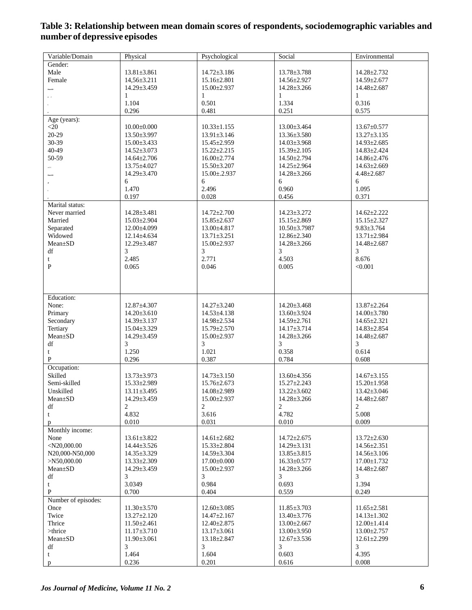| Variable/Domain        | Physical               | Psychological     | Social                 | Environmental          |
|------------------------|------------------------|-------------------|------------------------|------------------------|
| Gender:                |                        |                   |                        |                        |
| Male                   | $13.81 \pm 3.861$      | $14.72 \pm 3.186$ | 13.78±3.788            | 14.28±2.732            |
| Female                 | $14,56 \pm 3.211$      | $15.16 \pm 2.801$ | 14.56±2.927            | 14.59±2.677            |
|                        | 14.29±3.459            | 15.00±2.937       | $14.28 \pm 3.266$      | $14.48 \pm 2.687$      |
|                        | $\mathbf{1}$           | 1                 | $\mathbf{1}$           | 1                      |
|                        | 1.104                  | 0.501             | 1.334                  | 0.316                  |
|                        | 0.296                  | 0.481             | 0.251                  | 0.575                  |
|                        |                        |                   |                        |                        |
| Age (years):           |                        |                   |                        |                        |
| $<$ 20                 | $10.00 \pm 0.000$      | $10.33 \pm 1.155$ | 13.00±3.464            | $13.67 \pm 0.577$      |
| 20-29                  | 13.50±3.997            | $13.91 \pm 3.146$ | 13.36±3.580            | $13.27 \pm 3.135$      |
| 30-39                  | $15.00 \pm 3.433$      | $15.45 \pm 2.959$ | $14.03 \pm 3.968$      | $14.93 \pm 2.685$      |
| 40-49                  | $14.52 \pm 3.073$      | $15.22 \pm 2.215$ | $15.39 \pm 2.105$      | 14.83±2.424            |
| 50-59                  | 14.64±2.706            | $16.00 \pm 2.774$ | 14.50±2.794            | 14.86±2.476            |
|                        | 13.75±4.027            | 15.50±3.207       | 14.25±2.964            | 14.63±2.669            |
|                        | 14.29±3.470            | $15.00 \pm 2.937$ | 14.28±3.266            | $4.48 \pm 2.687$       |
|                        | 6                      | 6                 | 6                      | 6                      |
|                        | 1.470                  | 2.496             | 0.960                  | 1.095                  |
|                        | 0.197                  | 0.028             | 0.456                  | 0.371                  |
| Marital status:        |                        |                   |                        |                        |
| Never married          | $14.28 \pm 3.481$      | $14.72 \pm 2.700$ | 14.23±3.272            | $14.62 \pm 2.222$      |
| Married                | 15.03±2.904            | $15.85 \pm 2.637$ | $15.15 \pm 2.869$      | $15.15 \pm 2.327$      |
| Separated              | 12.00±4.099            | 13.00±4.817       | $10.50 \pm 3.7987$     | $9.83 \pm 3.764$       |
| Widowed                | 12.14±4.634            | $13.71 \pm 3.251$ | $12.86 + 2.340$        | 13.71±2.984            |
| Mean±SD                | $12.29 \pm 3.487$      | $15.00 \pm 2.937$ | $14.28 \pm 3.266$      | $14.48 \pm 2.687$      |
| df                     | 3                      | 3                 | 3                      | 3                      |
| t                      | 2.485                  | 2.771             | 4.503                  | 8.676                  |
| ${\bf P}$              | 0.065                  | 0.046             | 0.005                  | < 0.001                |
|                        |                        |                   |                        |                        |
|                        |                        |                   |                        |                        |
|                        |                        |                   |                        |                        |
| Education:             |                        |                   |                        |                        |
|                        |                        |                   |                        |                        |
| None:                  | 12.87±4.307            | $14.27 \pm 3.240$ | $14.20 \pm 3.468$      | $13.87 \pm 2.264$      |
| Primary                | $14.20 \pm 3.610$      | $14.53 \pm 4.138$ | 13.60±3.924            | 14.00±3.780            |
| Secondary              | 14.39±3.137            | 14.98±2.534       | 14.59±2.761            | 14.65±2.321            |
| Tertiary               | 15.04±3.329            | 15.79±2.570       | 14.17±3.714            | 14.83±2.854            |
| $Mean \pm SD$          | $14.29 \pm 3.459$      | $15.00 \pm 2.937$ | $14.28 \pm 3.266$      | $14.48 \pm 2.687$      |
| $\mathrm{d}\mathrm{f}$ | 3                      | 3                 | 3                      | 3                      |
| t                      | 1.250                  | 1.021             | 0.358                  | 0.614                  |
| $\, {\bf P}$           | 0.296                  | 0.387             | 0.784                  | 0.608                  |
| Occupation:            |                        |                   |                        |                        |
| Skilled                | 13.73±3.973            | $14.73 \pm 3.150$ | $13.60 \pm 4.356$      | $14.67 \pm 3.155$      |
| Semi-skilled           | $15.33 \pm 2.989$      | 15.76±2.673       | 15.27±2.243            | $15.20 \pm 1.958$      |
| Unskilled              | $13.11 \pm 3.495$      | 14.08±2.989       | $13.22 \pm 3.602$      | $13.42 \pm 3.046$      |
| $Mean \pm SD$          | 14.29±3.459            | 15.00±2.937       | 14.28±3.266            | $14.48 \pm 2.687$      |
| df                     | $\overline{2}$         | $\overline{c}$    | 2                      | 2                      |
| t                      | 4.832                  | 3.616             | 4.782                  | 5.008                  |
| p                      | 0.010                  | 0.031             | 0.010                  | 0.009                  |
| Monthly income:        |                        |                   |                        |                        |
| None                   | $13.61 \pm 3.822$      | $14.61 \pm 2.682$ | $14.72 \pm 2.675$      | $13.72 \pm 2.630$      |
| $<$ N20,000.00         | 14.44±3.526            | 15.33±2.804       | $14.29 \pm 3.131$      | 14.56±2.351            |
| N20,000-N50,000        | $14.35 \pm 3.329$      | $14.59 \pm 3.304$ | $13.85 \pm 3.815$      | $14.56 \pm 3.106$      |
| >N50,000.00            | $13.33 \pm 2.309$      | $17.00 \pm 0.000$ | $16.33 \pm 0.577$      | $17.00 \pm 1.732$      |
| Mean±SD                | 14.29±3.459            | 15.00±2.937       | 14.28±3.266            | 14.48±2.687            |
| df                     | 3                      | 3                 | 3                      | 3                      |
| t                      | 3.0349                 | 0.984             | 0.693                  | 1.394                  |
| $\, {\bf P}$           | 0.700                  | 0.404             | 0.559                  | 0.249                  |
| Number of episodes:    |                        |                   |                        |                        |
| Once                   | $11.30 \pm 3.570$      | $12.60 \pm 3.085$ | $11.85 \pm 3.703$      | $11.65 \pm 2.581$      |
| Twice                  | $13.27 \pm 2.120$      | $14.47 \pm 2.167$ | 13.40±3.776            | $14.13 \pm 1.302$      |
| Thrice                 | $11.50 \pm 2.461$      | $12.40 \pm 2.875$ | $13.00 \pm 2.667$      | $12.00 \pm 1.414$      |
| >thrice                | $11.17 \pm 3.710$      | $13.17 \pm 3.061$ | $13.00 \pm 3.950$      | $13.00 \pm 2.757$      |
| Mean±SD                |                        |                   |                        |                        |
| df                     | $11.90 \pm 3.061$<br>3 | 13.18±2.847<br>3  | $12.67 \pm 3.536$<br>3 | $12.61 \pm 2.299$<br>3 |
| t                      | 1.464                  | 1.604             | 0.603                  | 4.395                  |
|                        | 0.236                  | 0.201             | 0.616                  | 0.008                  |
| p                      |                        |                   |                        |                        |

# **Table 3: Relationship between mean domain scores of respondents, sociodemographic variables and number of depressive episodes**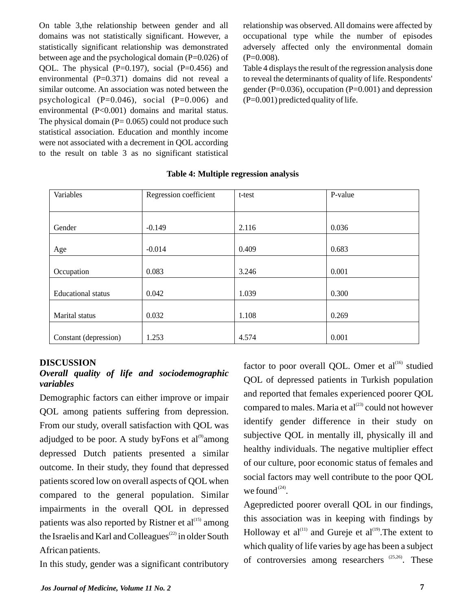On table 3,the relationship between gender and all domains was not statistically significant. However, a statistically significant relationship was demonstrated between age and the psychological domain  $(P=0.026)$  of QOL. The physical  $(P=0.197)$ , social  $(P=0.456)$  and environmental (P=0.371) domains did not reveal a similar outcome. An association was noted between the psychological  $(P=0.046)$ , social  $(P=0.006)$  and environmental (P<0.001) domains and marital status. The physical domain  $(P= 0.065)$  could not produce such statistical association. Education and monthly income were not associated with a decrement in QOL according to the result on table 3 as no significant statistical

relationship was observed. All domains were affected by occupational type while the number of episodes adversely affected only the environmental domain  $(P=0.008)$ .

Table 4 displays the result of the regression analysis done to reveal the determinants of quality of life. Respondents' gender (P=0.036), occupation (P=0.001) and depression  $(P=0.001)$  predicted quality of life.

| Variables                 | Regression coefficient | t-test | P-value |
|---------------------------|------------------------|--------|---------|
|                           |                        |        |         |
|                           |                        |        |         |
| Gender                    | $-0.149$               | 2.116  | 0.036   |
|                           |                        |        |         |
| Age                       | $-0.014$               | 0.409  | 0.683   |
|                           |                        |        |         |
| Occupation                | 0.083                  | 3.246  | 0.001   |
|                           |                        |        |         |
| <b>Educational</b> status | 0.042                  | 1.039  | 0.300   |
|                           |                        |        |         |
| Marital status            | 0.032                  | 1.108  | 0.269   |
|                           |                        |        |         |
| Constant (depression)     | 1.253                  | 4.574  | 0.001   |

**Table 4: Multiple regression analysis**

#### **DISCUSSION**

# *Overall quality of life and sociodemographic variables*

Demographic factors can either improve or impair QOL among patients suffering from depression. From our study, overall satisfaction with QOL was adjudged to be poor. A study byFons et al<sup> $\omega$ </sup> among depressed Dutch patients presented a similar outcome. In their study, they found that depressed patients scored low on overall aspects of QOL when compared to the general population. Similar impairments in the overall QOL in depressed patients was also reported by Ristner et  $al^{\text{(15)}}$  among the Israelis and Karl and Colleagues<sup> $(22)$ </sup> in older South African patients.

In this study, gender was a significant contributory

factor to poor overall QOL. Omer et  $al<sup>(16)</sup>$  studied QOL of depressed patients in Turkish population and reported that females experienced poorer QOL compared to males. Maria et  $al^{(23)}$  could not however identify gender difference in their study on subjective QOL in mentally ill, physically ill and healthy individuals. The negative multiplier effect of our culture, poor economic status of females and social factors may well contribute to the poor QOL we found  $(24)$ .

Agepredicted poorer overall QOL in our findings, this association was in keeping with findings by Holloway et al $^{(11)}$  and Gureje et al $^{(19)}$ . The extent to which quality of life varies by age has been a subject of controversies among researchers  $(25,26)$ . These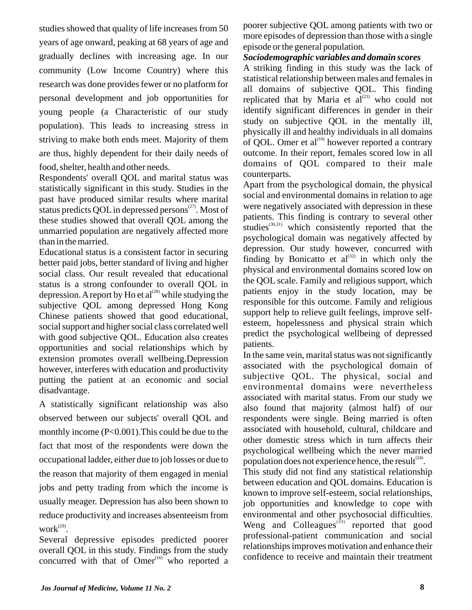studies showed that quality of life increases from 50 years of age onward, peaking at 68 years of age and gradually declines with increasing age. In our community (Low Income Country) where this research was done provides fewer or no platform for personal development and job opportunities for young people (a Characteristic of our study population). This leads to increasing stress in striving to make both ends meet. Majority of them are thus, highly dependent for their daily needs of food, shelter, health and other needs.

Respondents' overall QOL and marital status was statistically significant in this study. Studies in the past have produced similar results where marital status predicts OOL in depressed persons $^{(27)}$ . Most of these studies showed that overall QOL among the unmarried population are negatively affected more than in the married.

Educational status is a consistent factor in securing better paid jobs, better standard of living and higher social class. Our result revealed that educational status is a strong confounder to overall QOL in depression. A report by Ho et al<sup> $^{(28)}$ </sup> while studying the subjective QOL among depressed Hong Kong Chinese patients showed that good educational, social support and higher social class correlated well with good subjective QOL. Education also creates opportunities and social relationships which by extension promotes overall wellbeing.Depression however, interferes with education and productivity putting the patient at an economic and social disadvantage.

A statistically significant relationship was also observed between our subjects' overall QOL and monthly income (P<0.001).This could be due to the fact that most of the respondents were down the occupational ladder, either due to job losses or due to the reason that majority of them engaged in menial jobs and petty trading from which the income is usually meager. Depression has also been shown to reduce productivity and increases absenteeism from work $^{(29)}$ .

Several depressive episodes predicted poorer overall QOL in this study. Findings from the study concurred with that of  $Omega^{(16)}$  who reported a

poorer subjective QOL among patients with two or more episodes of depression than those with a single episode or the general population.

## *Sociodemographic variables and domain scores*

A striking finding in this study was the lack of statistical relationship between males and females in all domains of subjective QOL. This finding replicated that by Maria et  $aI^{(23)}$  who could not identify significant differences in gender in their study on subjective QOL in the mentally ill, physically ill and healthy individuals in all domains of OOL. Omer et al $^{(16)}$  however reported a contrary outcome. In their report, females scored low in all domains of QOL compared to their male counterparts.

Apart from the psychological domain, the physical social and environmental domains in relation to age were negatively associated with depression in these patients. This finding is contrary to several other studies $^{(30,31)}$  which consistently reported that the psychological domain was negatively affected by depression. Our study however, concurred with finding by Bonicatto et  $al^{(32)}$  in which only the physical and environmental domains scored low on the QOL scale. Family and religious support, which patients enjoy in the study location, may be responsible for this outcome. Family and religious support help to relieve guilt feelings, improve selfesteem, hopelessness and physical strain which predict the psychological wellbeing of depressed patients.

In the same vein, marital status was not significantly associated with the psychological domain of subjective QOL. The physical, social and environmental domains were nevertheless associated with marital status. From our study we also found that majority (almost half) of our respondents were single. Being married is often associated with household, cultural, childcare and other domestic stress which in turn affects their psychological wellbeing which the never married population does not experience hence, the result  $(24)$ .

This study did not find any statistical relationship between education and QOL domains. Education is known to improve self-esteem, social relationships, job opportunities and knowledge to cope with environmental and other psychosocial difficulties. Weng and Colleagues $^{(33)}$  reported that good professional-patient communication and social relationships improves motivation and enhance their confidence to receive and maintain their treatment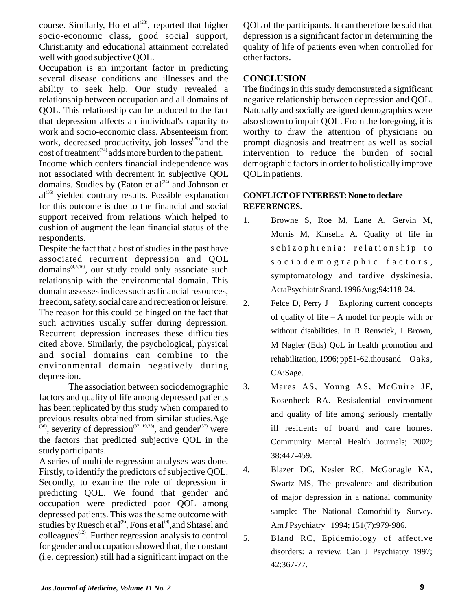course. Similarly, Ho et al $^{(28)}$ , reported that higher socio-economic class, good social support, Christianity and educational attainment correlated well with good subjective QOL.

Occupation is an important factor in predicting several disease conditions and illnesses and the ability to seek help. Our study revealed a relationship between occupation and all domains of QOL. This relationship can be adduced to the fact that depression affects an individual's capacity to work and socio-economic class. Absenteeism from work, decreased productivity, job losses $^{(29)}$  and the  $\cosh$  of treatment<sup>(34)</sup> adds more burden to the patient.

Income which confers financial independence was not associated with decrement in subjective QOL domains. Studies by (Eaton et al $^{(34)}$  and Johnson et  $al<sup>(35)</sup>$  yielded contrary results. Possible explanation for this outcome is due to the financial and social support received from relations which helped to cushion of augment the lean financial status of the respondents.

Despite the fact that a host of studies in the past have associated recurrent depression and QOL  $domains^{(4,5,16)}$ , our study could only associate such relationship with the environmental domain. This domain assesses indices such as financial resources, freedom, safety, social care and recreation or leisure. The reason for this could be hinged on the fact that such activities usually suffer during depression. Recurrent depression increases these difficulties cited above. Similarly, the psychological, physical and social domains can combine to the environmental domain negatively during depression.

The association between sociodemographic factors and quality of life among depressed patients has been replicated by this study when compared to previous results obtained from similar studies.Age  $(36)$ , severity of depression $(37, 19, 38)$ , and gender  $(37)$  were the factors that predicted subjective QOL in the study participants.

A series of multiple regression analyses was done. Firstly, to identify the predictors of subjective QOL. Secondly, to examine the role of depression in predicting QOL. We found that gender and occupation were predicted poor QOL among depressed patients. This was the same outcome with studies by Ruesch et al<sup>(8)</sup>, Fons et al<sup>(9)</sup>, and Shtasel and  $\text{colle}$ agues<sup> $(12)$ </sup>. Further regression analysis to control for gender and occupation showed that, the constant (i.e. depression) still had a significant impact on the

QOL of the participants. It can therefore be said that depression is a significant factor in determining the quality of life of patients even when controlled for other factors.

# **CONCLUSION**

The findings in this study demonstrated a significant negative relationship between depression and QOL. Naturally and socially assigned demographics were also shown to impair QOL. From the foregoing, it is worthy to draw the attention of physicians on prompt diagnosis and treatment as well as social intervention to reduce the burden of social demographic factors in order to holistically improve QOLin patients.

## **CONFLICTOFINTEREST: None to declare REFERENCES.**

- 1. Browne S, Roe M, Lane A, Gervin M, Morris M, Kinsella A. Quality of life in schizophrenia: relationship to socio de mographic factors, symptomatology and tardive dyskinesia. ActaPsychiatr Scand. 1996 Aug;94:118-24.
- 2. Felce D, Perry J Exploring current concepts of quality of life – A model for people with or without disabilities. In R Renwick, I Brown, M Nagler (Eds) QoL in health promotion and rehabilitation, 1996; pp51-62.thousand Oaks, CA:Sage.
- 3. Mares AS, Young AS, McGuire JF, Rosenheck RA. Resisdential environment and quality of life among seriously mentally ill residents of board and care homes. Community Mental Health Journals; 2002; 38:447-459.
- 4. Blazer DG, Kesler RC, McGonagle KA, Swartz MS, The prevalence and distribution of major depression in a national community sample: The National Comorbidity Survey. Am J Psychiatry 1994; 151(7):979-986.
- 5. Bland RC, Epidemiology of affective disorders: a review. Can J Psychiatry 1997; 42:367-77.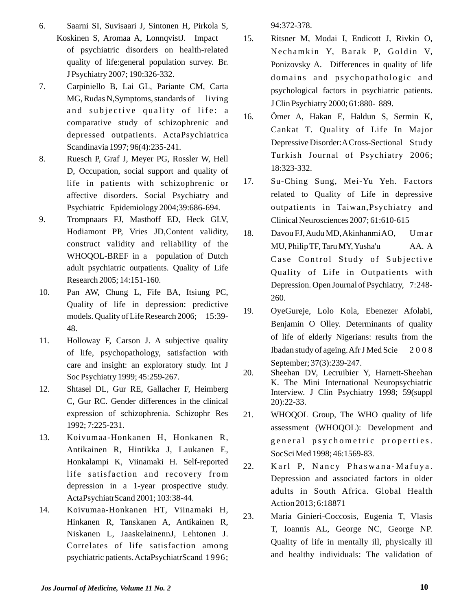- 6. Saarni SI, Suvisaari J, Sintonen H, Pirkola S, Koskinen S, Aromaa A, LonnqvistJ. Impact of psychiatric disorders on health-related quality of life:general population survey. Br. J Psychiatry 2007; 190:326-332.
- 7. Carpiniello B, Lai GL, Pariante CM, Carta  $MG, Rudas N, Symptoms, standards of living$ and subjective quality of life: a comparative study of schizophrenic and depressed outpatients. ActaPsychiatrica Scandinavia 1997; 96(4):235-241.
- 8. Ruesch P, Graf J, Meyer PG, Rossler W, Hell D, Occupation, social support and quality of life in patients with schizophrenic or affective disorders. Social Psychiatry and Psychiatric Epidemiology 2004;39:686-694.
- 9. Trompnaars FJ, Masthoff ED, Heck GLV, Hodiamont PP, Vries JD,Content validity, construct validity and reliability of the WHOQOL-BREF in a population of Dutch adult psychiatric outpatients. Quality of Life Research 2005; 14:151-160.
- 10. Pan AW, Chung L, Fife BA, Itsiung PC, Quality of life in depression: predictive models. Quality of Life Research 2006; 15:39- 48.
- 11. Holloway F, Carson J. A subjective quality of life, psychopathology, satisfaction with care and insight: an exploratory study. Int J Soc Psychiatry 1999; 45:259-267.
- 12. Shtasel DL, Gur RE, Gallacher F, Heimberg C, Gur RC. Gender differences in the clinical expression of schizophrenia. Schizophr Res 1992; 7:225-231.
- 13. Koivumaa-Honkanen H, Honkanen R, Antikainen R, Hintikka J, Laukanen E, Honkalampi K, Viinamaki H. Self-reported life satisfaction and recovery from depression in a 1-year prospective study. ActaPsychiatrScand 2001; 103:38-44.
- 14. Koivumaa-Honkanen HT, Viinamaki H, Hinkanen R, Tanskanen A, Antikainen R, Niskanen L, JaaskelainennJ, Lehtonen J. Correlates of life satisfaction among psychiatric patients. ActaPsychiatrScand 1996;

94:372-378.

- 15. Ritsner M, Modai I, Endicott J, Rivkin O, Nechamkin Y, Barak P, Goldin V, Ponizovsky A. Differences in quality of life domains and psychopathologic and psychological factors in psychiatric patients. J Clin Psychiatry 2000; 61:880- 889.
- 16. Ömer A, Hakan E, Haldun S, Sermin K, Cankat T. Quality of Life In Major Depressive Disorder:ACross-Sectional Study Turkish Journal of Psychiatry 2006; 18:323-332.
- 17. Su-Ching Sung, Mei-Yu Yeh. Factors related to Quality of Life in depressive outpatients in Taiwan,Psychiatry and Clinical Neurosciences 2007; 61:610-615
- 18. Davou FJ, Audu MD, Akinhanmi AO, Uma r MU, Philip TF, Taru MY, Yusha'u AA. A Case Control Study of Subjective Quality of Life in Outpatients with Depression. Open Journal of Psychiatry, 7:248- 260.
- 19. OyeGureje, Lolo Kola, Ebenezer Afolabi, Benjamin O Olley. Determinants of quality of life of elderly Nigerians: results from the Ibadan study of ageing. Afr J Med Scie 2 0 0 8 September; 37(3):239-247.
- 20. Sheehan DV, Lecruibier Y, Harnett-Sheehan K. The Mini International Neuropsychiatric Interview. J Clin Psychiatry 1998; 59(suppl 20):22-33.
- 21. WHOQOL Group, The WHO quality of life assessment (WHOQOL): Development and general psychometric properties. SocSci Med 1998; 46:1569-83.
- 22. Karl P, Nancy Phaswana-Mafuya. Depression and associated factors in older adults in South Africa. Global Health Action 2013; 6:18871
- 23. Maria Ginieri-Coccosis, Eugenia T, Vlasis T, Ioannis AL, George NC, George NP. Quality of life in mentally ill, physically ill and healthy individuals: The validation of